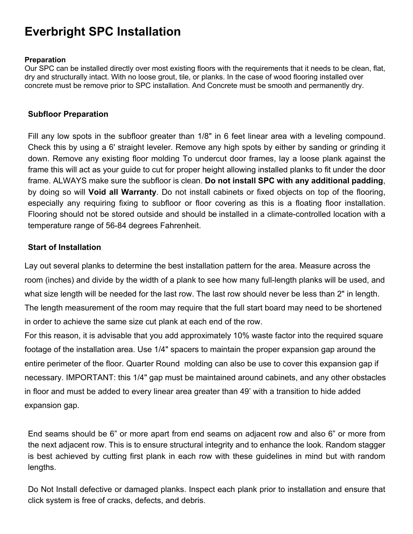# **Everbright SPC Installation**

#### **Preparation**

Our SPC can be installed directly over most existing floors with the requirements that it needs to be clean, flat, dry and structurally intact. With no loose grout, tile, or planks. In the case of wood flooring installed over concrete must be remove prior to SPC installation. And Concrete must be smooth and permanently dry.

## **Subfloor Preparation**

Fill any low spots in the subfloor greater than 1/8" in 6 feet linear area with a leveling compound. Check this by using a 6' straight leveler. Remove any high spots by either by sanding or grinding it down. Remove any existing floor molding To undercut door frames, lay a loose plank against the frame this will act as your guide to cut for proper height allowing installed planks to fit under the door frame. ALWAYS make sure the subfloor is clean. **Do not install SPC with any additional padding**, by doing so will **Void all Warranty**. Do not install cabinets or fixed objects on top of the flooring, especially any requiring fixing to subfloor or floor covering as this is a floating floor installation. Flooring should not be stored outside and should be installed in a climate-controlled location with a temperature range of 56-84 degrees Fahrenheit.

# **Start of Installation**

Lay out several planks to determine the best installation pattern for the area. Measure across the room (inches) and divide by the width of a plank to see how many full-length planks will be used, and what size length will be needed for the last row. The last row should never be less than 2" in length. The length measurement of the room may require that the full start board may need to be shortened in order to achieve the same size cut plank at each end of the row.

For this reason, it is advisable that you add approximately 10% waste factor into the required square footage of the installation area. Use 1/4" spacers to maintain the proper expansion gap around the entire perimeter of the floor. Quarter Round molding can also be use to cover this expansion gap if necessary. IMPORTANT: this 1/4" gap must be maintained around cabinets, and any other obstacles in floor and must be added to every linear area greater than 49' with a transition to hide added expansion gap.

End seams should be 6" or more apart from end seams on adjacent row and also 6" or more from the next adjacent row. This is to ensure structural integrity and to enhance the look. Random stagger is best achieved by cutting first plank in each row with these guidelines in mind but with random lengths.

Do Not Install defective or damaged planks. Inspect each plank prior to installation and ensure that click system is free of cracks, defects, and debris.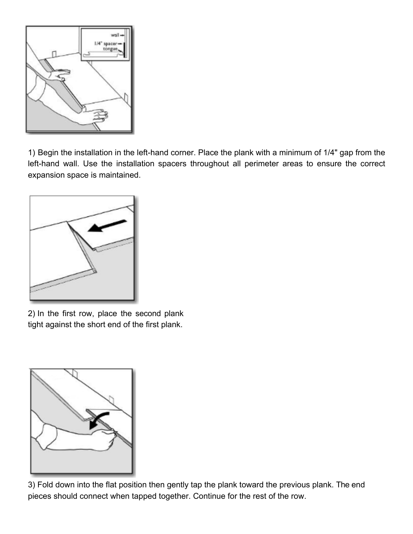

1) Begin the installation in the left-hand corner. Place the plank with a minimum of 1/4" gap from the left-hand wall. Use the installation spacers throughout all perimeter areas to ensure the correct expansion space is maintained.



2) In the first row, place the second plank tight against the short end of the first plank.



3) Fold down into the flat position then gently tap the plank toward the previous plank. The end pieces should connect when tapped together. Continue for the rest of the row.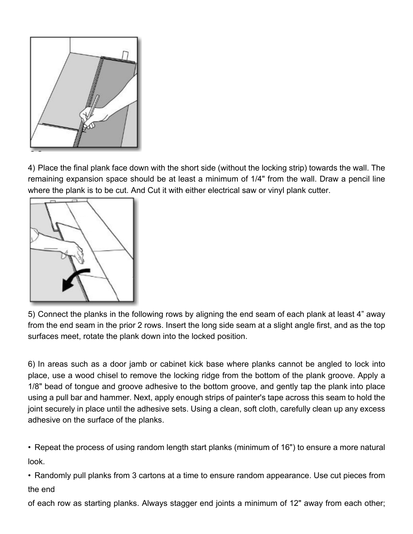

4) Place the final plank face down with the short side (without the locking strip) towards the wall. The remaining expansion space should be at least a minimum of 1/4" from the wall. Draw a pencil line where the plank is to be cut. And Cut it with either electrical saw or vinyl plank cutter.



5) Connect the planks in the following rows by aligning the end seam of each plank at least 4" away from the end seam in the prior 2 rows. Insert the long side seam at a slight angle first, and as the top surfaces meet, rotate the plank down into the locked position.

6) In areas such as a door jamb or cabinet kick base where planks cannot be angled to lock into place, use a wood chisel to remove the locking ridge from the bottom of the plank groove. Apply a 1/8" bead of tongue and groove adhesive to the bottom groove, and gently tap the plank into place using a pull bar and hammer. Next, apply enough strips of painter's tape across this seam to hold the joint securely in place until the adhesive sets. Using a clean, soft cloth, carefully clean up any excess adhesive on the surface of the planks.

• Repeat the process of using random length start planks (minimum of 16") to ensure a more natural look.

• Randomly pull planks from 3 cartons at a time to ensure random appearance. Use cut pieces from the end

of each row as starting planks. Always stagger end joints a minimum of 12" away from each other;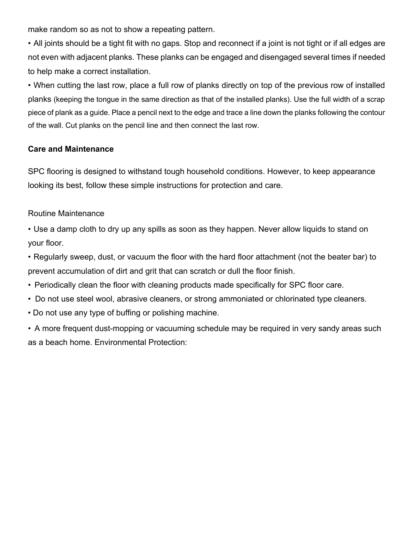make random so as not to show a repeating pattern.

• All joints should be a tight fit with no gaps. Stop and reconnect if a joint is not tight or if all edges are not even with adjacent planks. These planks can be engaged and disengaged several times if needed to help make a correct installation.

• When cutting the last row, place a full row of planks directly on top of the previous row of installed planks (keeping the tongue in the same direction as that of the installed planks). Use the full width of a scrap piece of plank as a guide. Place a pencil next to the edge and trace a line down the planks following the contour of the wall. Cut planks on the pencil line and then connect the last row.

## **Care and Maintenance**

SPC flooring is designed to withstand tough household conditions. However, to keep appearance looking its best, follow these simple instructions for protection and care.

## Routine Maintenance

• Use a damp cloth to dry up any spills as soon as they happen. Never allow liquids to stand on your floor.

• Regularly sweep, dust, or vacuum the floor with the hard floor attachment (not the beater bar) to prevent accumulation of dirt and grit that can scratch or dull the floor finish.

- Periodically clean the floor with cleaning products made specifically for SPC floor care.
- Do not use steel wool, abrasive cleaners, or strong ammoniated or chlorinated type cleaners.
- Do not use any type of buffing or polishing machine.

• A more frequent dust-mopping or vacuuming schedule may be required in very sandy areas such as a beach home. Environmental Protection: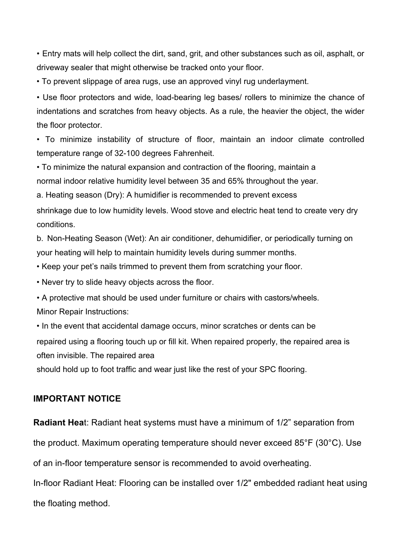• Entry mats will help collect the dirt, sand, grit, and other substances such as oil, asphalt, or driveway sealer that might otherwise be tracked onto your floor.

• To prevent slippage of area rugs, use an approved vinyl rug underlayment.

• Use floor protectors and wide, load-bearing leg bases/ rollers to minimize the chance of indentations and scratches from heavy objects. As a rule, the heavier the object, the wider the floor protector.

• To minimize instability of structure of floor, maintain an indoor climate controlled temperature range of 32-100 degrees Fahrenheit.

• To minimize the natural expansion and contraction of the flooring, maintain a normal indoor relative humidity level between 35 and 65% throughout the year.

a. Heating season (Dry): A humidifier is recommended to prevent excess

shrinkage due to low humidity levels. Wood stove and electric heat tend to create very dry conditions.

b. Non-Heating Season (Wet): An air conditioner, dehumidifier, or periodically turning on your heating will help to maintain humidity levels during summer months.

• Keep your pet's nails trimmed to prevent them from scratching your floor.

• Never try to slide heavy objects across the floor.

• A protective mat should be used under furniture or chairs with castors/wheels. Minor Repair Instructions:

• In the event that accidental damage occurs, minor scratches or dents can be repaired using a flooring touch up or fill kit. When repaired properly, the repaired area is often invisible. The repaired area

should hold up to foot traffic and wear just like the rest of your SPC flooring.

# **IMPORTANT NOTICE**

**Radiant Hea**t: Radiant heat systems must have a minimum of 1/2" separation from

the product. Maximum operating temperature should never exceed 85°F (30°C). Use

of an in-floor temperature sensor is recommended to avoid overheating.

In-floor Radiant Heat: Flooring can be installed over 1/2" embedded radiant heat using the floating method.